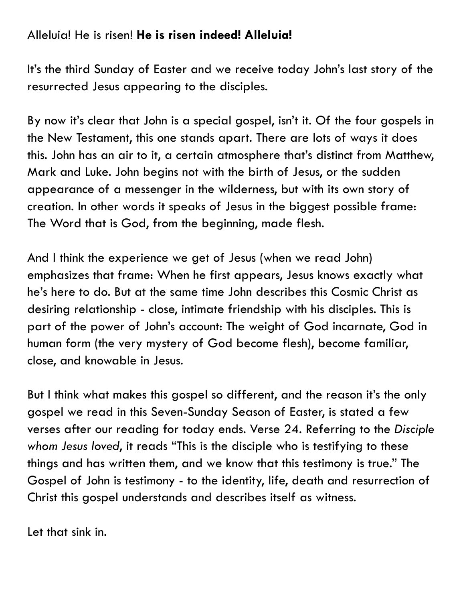## Alleluia! He is risen! **He is risen indeed! Alleluia!**

It's the third Sunday of Easter and we receive today John's last story of the resurrected Jesus appearing to the disciples.

By now it's clear that John is a special gospel, isn't it. Of the four gospels in the New Testament, this one stands apart. There are lots of ways it does this. John has an air to it, a certain atmosphere that's distinct from Matthew, Mark and Luke. John begins not with the birth of Jesus, or the sudden appearance of a messenger in the wilderness, but with its own story of creation. In other words it speaks of Jesus in the biggest possible frame: The Word that is God, from the beginning, made flesh.

And I think the experience we get of Jesus (when we read John) emphasizes that frame: When he first appears, Jesus knows exactly what he's here to do. But at the same time John describes this Cosmic Christ as desiring relationship - close, intimate friendship with his disciples. This is part of the power of John's account: The weight of God incarnate, God in human form (the very mystery of God become flesh), become familiar, close, and knowable in Jesus.

But I think what makes this gospel so different, and the reason it's the only gospel we read in this Seven-Sunday Season of Easter, is stated a few verses after our reading for today ends. Verse 24. Referring to the *Disciple whom Jesus loved*, it reads "This is the disciple who is testifying to these things and has written them, and we know that this testimony is true." The Gospel of John is testimony - to the identity, life, death and resurrection of Christ this gospel understands and describes itself as witness.

Let that sink in.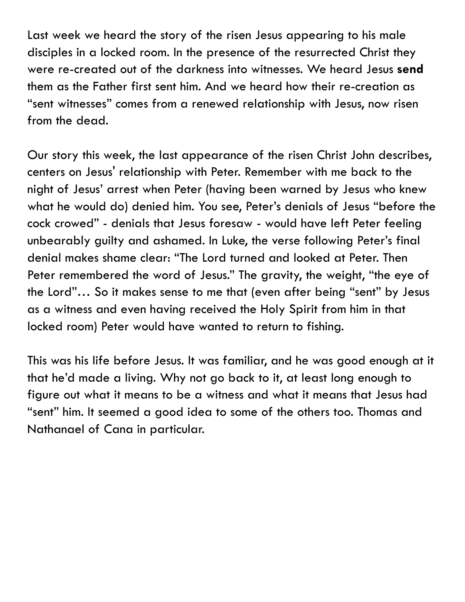Last week we heard the story of the risen Jesus appearing to his male disciples in a locked room. In the presence of the resurrected Christ they were re-created out of the darkness into witnesses. We heard Jesus **send** them as the Father first sent him. And we heard how their re-creation as "sent witnesses" comes from a renewed relationship with Jesus, now risen from the dead.

Our story this week, the last appearance of the risen Christ John describes, centers on Jesus' relationship with Peter. Remember with me back to the night of Jesus' arrest when Peter (having been warned by Jesus who knew what he would do) denied him. You see, Peter's denials of Jesus "before the cock crowed" - denials that Jesus foresaw - would have left Peter feeling unbearably guilty and ashamed. In Luke, the verse following Peter's final denial makes shame clear: "The Lord turned and looked at Peter. Then Peter remembered the word of Jesus." The gravity, the weight, "the eye of the Lord"… So it makes sense to me that (even after being "sent" by Jesus as a witness and even having received the Holy Spirit from him in that locked room) Peter would have wanted to return to fishing.

This was his life before Jesus. It was familiar, and he was good enough at it that he'd made a living. Why not go back to it, at least long enough to figure out what it means to be a witness and what it means that Jesus had "sent" him. It seemed a good idea to some of the others too. Thomas and Nathanael of Cana in particular.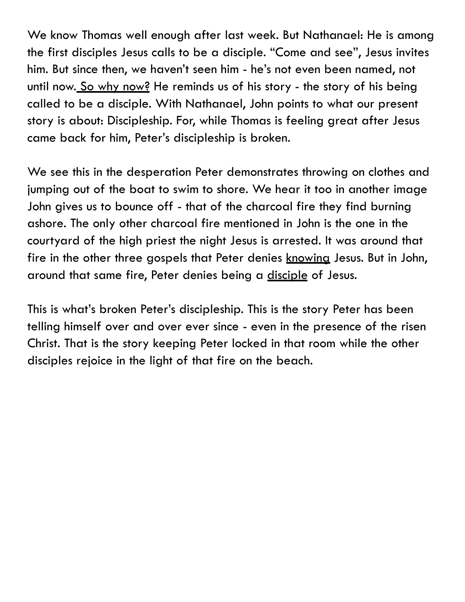We know Thomas well enough after last week. But Nathanael: He is among the first disciples Jesus calls to be a disciple. "Come and see", Jesus invites him. But since then, we haven't seen him - he's not even been named, not until now. So why now? He reminds us of his story - the story of his being called to be a disciple. With Nathanael, John points to what our present story is about: Discipleship. For, while Thomas is feeling great after Jesus came back for him, Peter's discipleship is broken.

We see this in the desperation Peter demonstrates throwing on clothes and jumping out of the boat to swim to shore. We hear it too in another image John gives us to bounce off - that of the charcoal fire they find burning ashore. The only other charcoal fire mentioned in John is the one in the courtyard of the high priest the night Jesus is arrested. It was around that fire in the other three gospels that Peter denies knowing Jesus. But in John, around that same fire, Peter denies being a disciple of Jesus.

This is what's broken Peter's discipleship. This is the story Peter has been telling himself over and over ever since - even in the presence of the risen Christ. That is the story keeping Peter locked in that room while the other disciples rejoice in the light of that fire on the beach.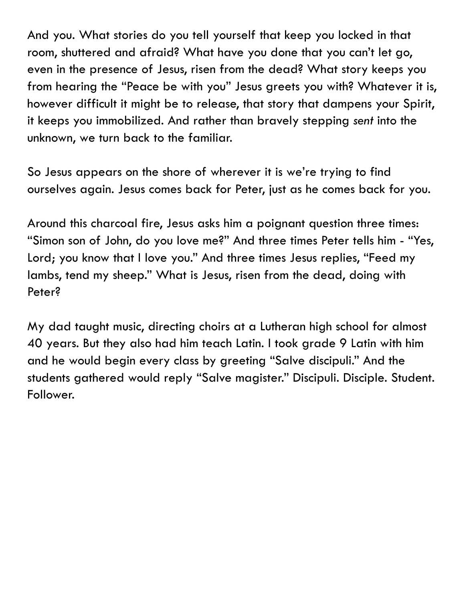And you. What stories do you tell yourself that keep you locked in that room, shuttered and afraid? What have you done that you can't let go, even in the presence of Jesus, risen from the dead? What story keeps you from hearing the "Peace be with you" Jesus greets you with? Whatever it is, however difficult it might be to release, that story that dampens your Spirit, it keeps you immobilized. And rather than bravely stepping *sent* into the unknown, we turn back to the familiar.

So Jesus appears on the shore of wherever it is we're trying to find ourselves again. Jesus comes back for Peter, just as he comes back for you.

Around this charcoal fire, Jesus asks him a poignant question three times: "Simon son of John, do you love me?" And three times Peter tells him - "Yes, Lord; you know that I love you." And three times Jesus replies, "Feed my lambs, tend my sheep." What is Jesus, risen from the dead, doing with Peter?

My dad taught music, directing choirs at a Lutheran high school for almost 40 years. But they also had him teach Latin. I took grade 9 Latin with him and he would begin every class by greeting "Salve discipuli." And the students gathered would reply "Salve magister." Discipuli. Disciple. Student. Follower.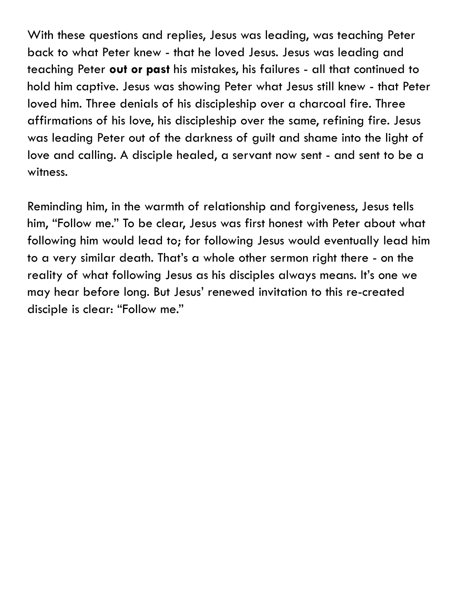With these questions and replies, Jesus was leading, was teaching Peter back to what Peter knew - that he loved Jesus. Jesus was leading and teaching Peter **out or past** his mistakes, his failures - all that continued to hold him captive. Jesus was showing Peter what Jesus still knew - that Peter loved him. Three denials of his discipleship over a charcoal fire. Three affirmations of his love, his discipleship over the same, refining fire. Jesus was leading Peter out of the darkness of guilt and shame into the light of love and calling. A disciple healed, a servant now sent - and sent to be a witness.

Reminding him, in the warmth of relationship and forgiveness, Jesus tells him, "Follow me." To be clear, Jesus was first honest with Peter about what following him would lead to; for following Jesus would eventually lead him to a very similar death. That's a whole other sermon right there - on the reality of what following Jesus as his disciples always means. It's one we may hear before long. But Jesus' renewed invitation to this re-created disciple is clear: "Follow me."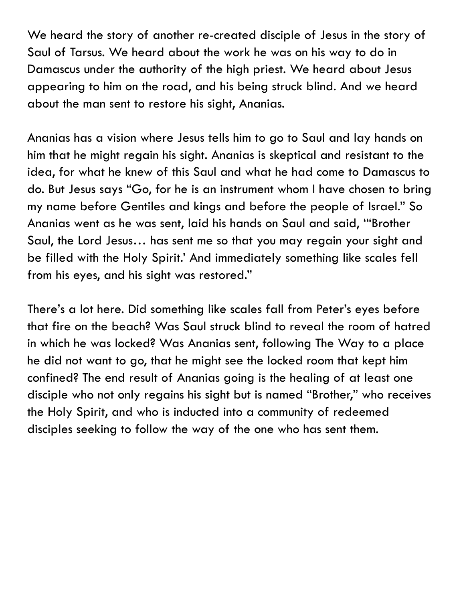We heard the story of another re-created disciple of Jesus in the story of Saul of Tarsus. We heard about the work he was on his way to do in Damascus under the authority of the high priest. We heard about Jesus appearing to him on the road, and his being struck blind. And we heard about the man sent to restore his sight, Ananias.

Ananias has a vision where Jesus tells him to go to Saul and lay hands on him that he might regain his sight. Ananias is skeptical and resistant to the idea, for what he knew of this Saul and what he had come to Damascus to do. But Jesus says "Go, for he is an instrument whom I have chosen to bring my name before Gentiles and kings and before the people of Israel." So Ananias went as he was sent, laid his hands on Saul and said, '"Brother Saul, the Lord Jesus… has sent me so that you may regain your sight and be filled with the Holy Spirit.' And immediately something like scales fell from his eyes, and his sight was restored."

There's a lot here. Did something like scales fall from Peter's eyes before that fire on the beach? Was Saul struck blind to reveal the room of hatred in which he was locked? Was Ananias sent, following The Way to a place he did not want to go, that he might see the locked room that kept him confined? The end result of Ananias going is the healing of at least one disciple who not only regains his sight but is named "Brother," who receives the Holy Spirit, and who is inducted into a community of redeemed disciples seeking to follow the way of the one who has sent them.